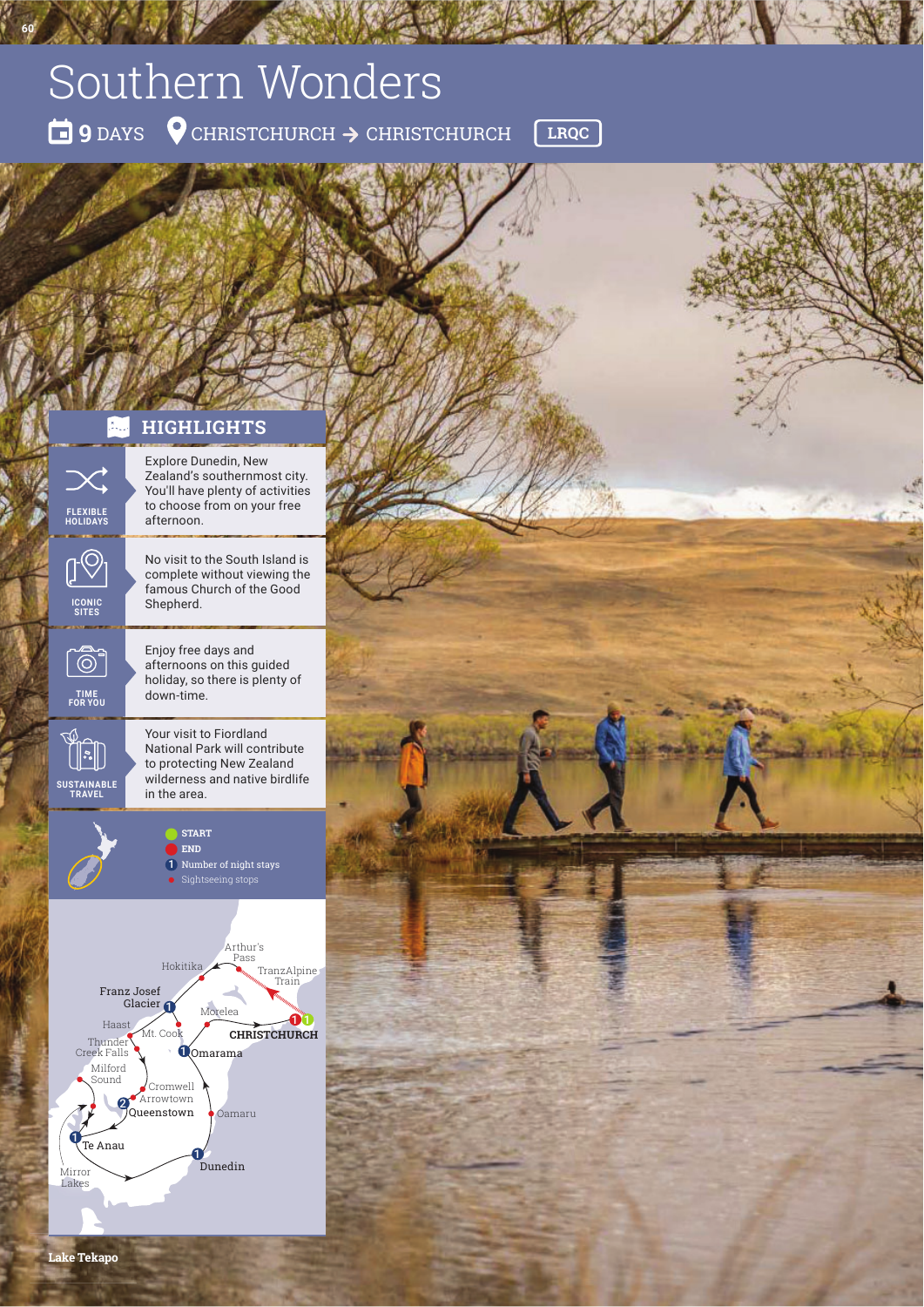# Southern Wonders

**<sup>9</sup>** DAYS CHRISTCHURCH CHRISTCHURCH **LRQC**

## **HIGHLIGHTS**

**HOLIDAYS**

 $\odot$ 

**60**

**SITES**

tor<br>O

in the area. **SUSTAINABLE TRAVEL**

1  $\begin{bmatrix} \cdot \cdot \end{bmatrix}$  Explore Dunedin, New Zealand's southernmost city. You'll have plenty of activities to choose from on your free afternoon.

No visit to the South Island is complete without viewing the famous Church of the Good Shepherd.

Enjoy free days and afternoons on this guided holiday, so there is plenty of **TIME** down-time. **FOR YOU**

> Your visit to Fiordland National Park will contribute to protecting New Zealand wilderness and native birdlife<br>in the area.

> > **START END** Number of night stays Sightseeing stops 1